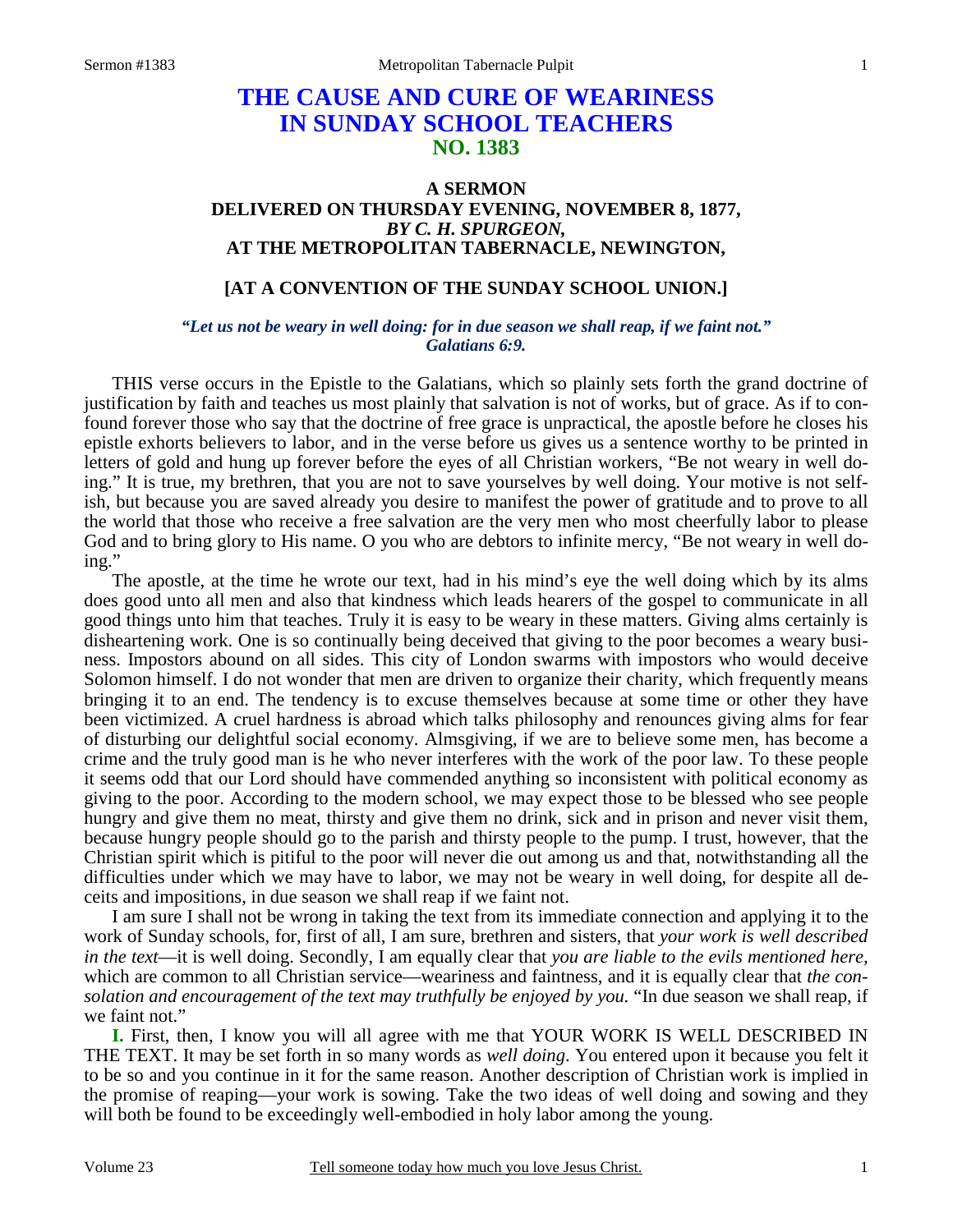# **THE CAUSE AND CURE OF WEARINESS IN SUNDAY SCHOOL TEACHERS NO. 1383**

## **A SERMON DELIVERED ON THURSDAY EVENING, NOVEMBER 8, 1877,**  *BY C. H. SPURGEON,*  **AT THE METROPOLITAN TABERNACLE, NEWINGTON,**

#### **[AT A CONVENTION OF THE SUNDAY SCHOOL UNION.]**

#### *"Let us not be weary in well doing: for in due season we shall reap, if we faint not." Galatians 6:9.*

THIS verse occurs in the Epistle to the Galatians, which so plainly sets forth the grand doctrine of justification by faith and teaches us most plainly that salvation is not of works, but of grace. As if to confound forever those who say that the doctrine of free grace is unpractical, the apostle before he closes his epistle exhorts believers to labor, and in the verse before us gives us a sentence worthy to be printed in letters of gold and hung up forever before the eyes of all Christian workers, "Be not weary in well doing." It is true, my brethren, that you are not to save yourselves by well doing. Your motive is not selfish, but because you are saved already you desire to manifest the power of gratitude and to prove to all the world that those who receive a free salvation are the very men who most cheerfully labor to please God and to bring glory to His name. O you who are debtors to infinite mercy, "Be not weary in well doing."

The apostle, at the time he wrote our text, had in his mind's eye the well doing which by its alms does good unto all men and also that kindness which leads hearers of the gospel to communicate in all good things unto him that teaches. Truly it is easy to be weary in these matters. Giving alms certainly is disheartening work. One is so continually being deceived that giving to the poor becomes a weary business. Impostors abound on all sides. This city of London swarms with impostors who would deceive Solomon himself. I do not wonder that men are driven to organize their charity, which frequently means bringing it to an end. The tendency is to excuse themselves because at some time or other they have been victimized. A cruel hardness is abroad which talks philosophy and renounces giving alms for fear of disturbing our delightful social economy. Almsgiving, if we are to believe some men, has become a crime and the truly good man is he who never interferes with the work of the poor law. To these people it seems odd that our Lord should have commended anything so inconsistent with political economy as giving to the poor. According to the modern school, we may expect those to be blessed who see people hungry and give them no meat, thirsty and give them no drink, sick and in prison and never visit them, because hungry people should go to the parish and thirsty people to the pump. I trust, however, that the Christian spirit which is pitiful to the poor will never die out among us and that, notwithstanding all the difficulties under which we may have to labor, we may not be weary in well doing, for despite all deceits and impositions, in due season we shall reap if we faint not.

I am sure I shall not be wrong in taking the text from its immediate connection and applying it to the work of Sunday schools, for, first of all, I am sure, brethren and sisters, that *your work is well described in the text*—it is well doing. Secondly, I am equally clear that *you are liable to the evils mentioned here,* which are common to all Christian service—weariness and faintness, and it is equally clear that *the consolation and encouragement of the text may truthfully be enjoyed by you.* "In due season we shall reap, if we faint not."

**I.** First, then, I know you will all agree with me that YOUR WORK IS WELL DESCRIBED IN THE TEXT. It may be set forth in so many words as *well doing*. You entered upon it because you felt it to be so and you continue in it for the same reason. Another description of Christian work is implied in the promise of reaping—your work is sowing. Take the two ideas of well doing and sowing and they will both be found to be exceedingly well-embodied in holy labor among the young.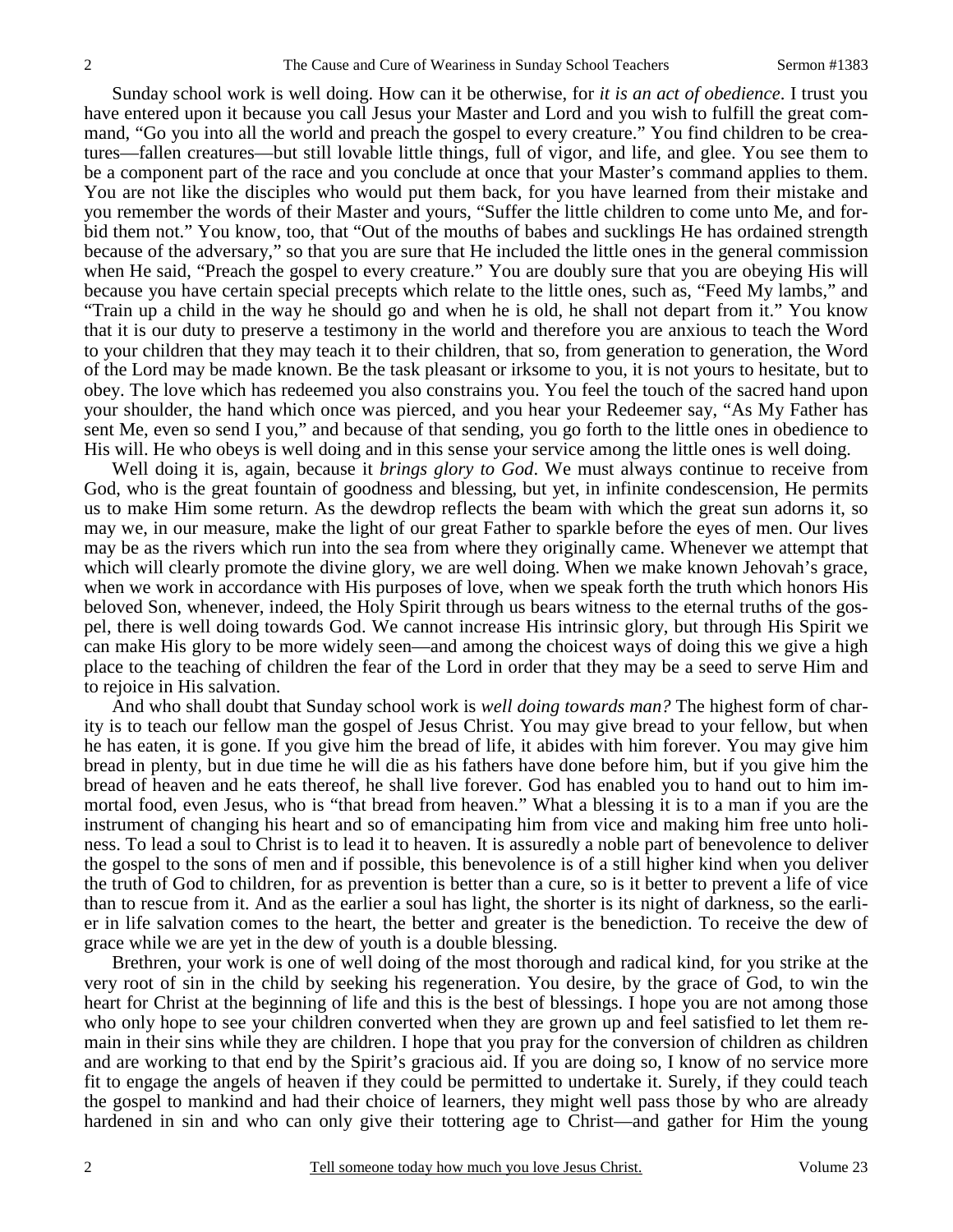Sunday school work is well doing. How can it be otherwise, for *it is an act of obedience*. I trust you have entered upon it because you call Jesus your Master and Lord and you wish to fulfill the great command, "Go you into all the world and preach the gospel to every creature." You find children to be creatures—fallen creatures—but still lovable little things, full of vigor, and life, and glee. You see them to be a component part of the race and you conclude at once that your Master's command applies to them. You are not like the disciples who would put them back, for you have learned from their mistake and you remember the words of their Master and yours, "Suffer the little children to come unto Me, and forbid them not." You know, too, that "Out of the mouths of babes and sucklings He has ordained strength because of the adversary," so that you are sure that He included the little ones in the general commission when He said, "Preach the gospel to every creature." You are doubly sure that you are obeying His will because you have certain special precepts which relate to the little ones, such as, "Feed My lambs," and "Train up a child in the way he should go and when he is old, he shall not depart from it." You know that it is our duty to preserve a testimony in the world and therefore you are anxious to teach the Word to your children that they may teach it to their children, that so, from generation to generation, the Word of the Lord may be made known. Be the task pleasant or irksome to you, it is not yours to hesitate, but to obey. The love which has redeemed you also constrains you. You feel the touch of the sacred hand upon your shoulder, the hand which once was pierced, and you hear your Redeemer say, "As My Father has sent Me, even so send I you," and because of that sending, you go forth to the little ones in obedience to His will. He who obeys is well doing and in this sense your service among the little ones is well doing.

Well doing it is, again, because it *brings glory to God*. We must always continue to receive from God, who is the great fountain of goodness and blessing, but yet, in infinite condescension, He permits us to make Him some return. As the dewdrop reflects the beam with which the great sun adorns it, so may we, in our measure, make the light of our great Father to sparkle before the eyes of men. Our lives may be as the rivers which run into the sea from where they originally came. Whenever we attempt that which will clearly promote the divine glory, we are well doing. When we make known Jehovah's grace, when we work in accordance with His purposes of love, when we speak forth the truth which honors His beloved Son, whenever, indeed, the Holy Spirit through us bears witness to the eternal truths of the gospel, there is well doing towards God. We cannot increase His intrinsic glory, but through His Spirit we can make His glory to be more widely seen—and among the choicest ways of doing this we give a high place to the teaching of children the fear of the Lord in order that they may be a seed to serve Him and to rejoice in His salvation.

And who shall doubt that Sunday school work is *well doing towards man?* The highest form of charity is to teach our fellow man the gospel of Jesus Christ. You may give bread to your fellow, but when he has eaten, it is gone. If you give him the bread of life, it abides with him forever. You may give him bread in plenty, but in due time he will die as his fathers have done before him, but if you give him the bread of heaven and he eats thereof, he shall live forever. God has enabled you to hand out to him immortal food, even Jesus, who is "that bread from heaven." What a blessing it is to a man if you are the instrument of changing his heart and so of emancipating him from vice and making him free unto holiness. To lead a soul to Christ is to lead it to heaven. It is assuredly a noble part of benevolence to deliver the gospel to the sons of men and if possible, this benevolence is of a still higher kind when you deliver the truth of God to children, for as prevention is better than a cure, so is it better to prevent a life of vice than to rescue from it. And as the earlier a soul has light, the shorter is its night of darkness, so the earlier in life salvation comes to the heart, the better and greater is the benediction. To receive the dew of grace while we are yet in the dew of youth is a double blessing.

Brethren, your work is one of well doing of the most thorough and radical kind, for you strike at the very root of sin in the child by seeking his regeneration. You desire, by the grace of God, to win the heart for Christ at the beginning of life and this is the best of blessings. I hope you are not among those who only hope to see your children converted when they are grown up and feel satisfied to let them remain in their sins while they are children. I hope that you pray for the conversion of children as children and are working to that end by the Spirit's gracious aid. If you are doing so, I know of no service more fit to engage the angels of heaven if they could be permitted to undertake it. Surely, if they could teach the gospel to mankind and had their choice of learners, they might well pass those by who are already hardened in sin and who can only give their tottering age to Christ—and gather for Him the young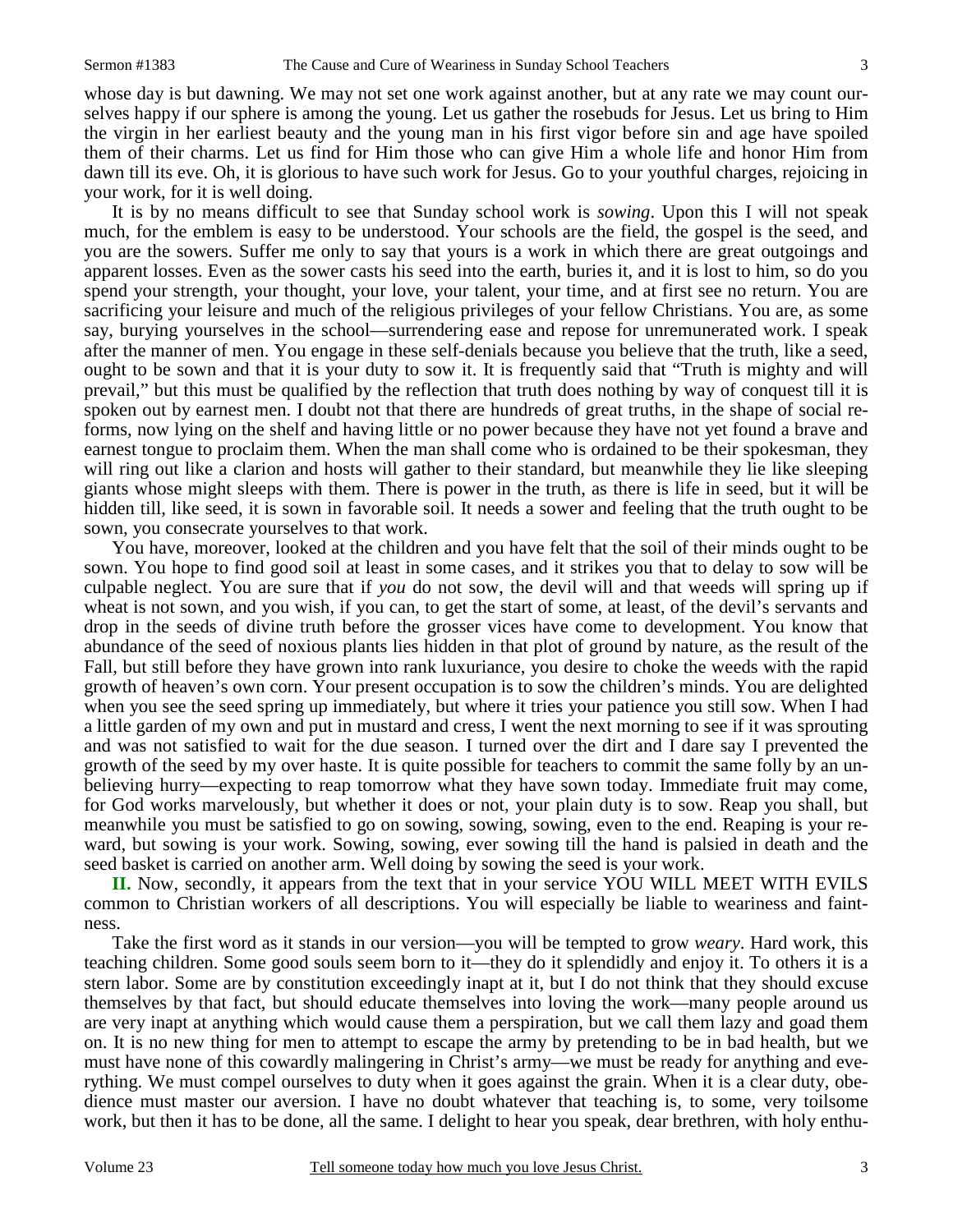whose day is but dawning. We may not set one work against another, but at any rate we may count ourselves happy if our sphere is among the young. Let us gather the rosebuds for Jesus. Let us bring to Him the virgin in her earliest beauty and the young man in his first vigor before sin and age have spoiled them of their charms. Let us find for Him those who can give Him a whole life and honor Him from dawn till its eve. Oh, it is glorious to have such work for Jesus. Go to your youthful charges, rejoicing in your work, for it is well doing.

It is by no means difficult to see that Sunday school work is *sowing*. Upon this I will not speak much, for the emblem is easy to be understood. Your schools are the field, the gospel is the seed, and you are the sowers. Suffer me only to say that yours is a work in which there are great outgoings and apparent losses. Even as the sower casts his seed into the earth, buries it, and it is lost to him, so do you spend your strength, your thought, your love, your talent, your time, and at first see no return. You are sacrificing your leisure and much of the religious privileges of your fellow Christians. You are, as some say, burying yourselves in the school—surrendering ease and repose for unremunerated work. I speak after the manner of men. You engage in these self-denials because you believe that the truth, like a seed, ought to be sown and that it is your duty to sow it. It is frequently said that "Truth is mighty and will prevail," but this must be qualified by the reflection that truth does nothing by way of conquest till it is spoken out by earnest men. I doubt not that there are hundreds of great truths, in the shape of social reforms, now lying on the shelf and having little or no power because they have not yet found a brave and earnest tongue to proclaim them. When the man shall come who is ordained to be their spokesman, they will ring out like a clarion and hosts will gather to their standard, but meanwhile they lie like sleeping giants whose might sleeps with them. There is power in the truth, as there is life in seed, but it will be hidden till, like seed, it is sown in favorable soil. It needs a sower and feeling that the truth ought to be sown, you consecrate yourselves to that work.

You have, moreover, looked at the children and you have felt that the soil of their minds ought to be sown. You hope to find good soil at least in some cases, and it strikes you that to delay to sow will be culpable neglect. You are sure that if *you* do not sow, the devil will and that weeds will spring up if wheat is not sown, and you wish, if you can, to get the start of some, at least, of the devil's servants and drop in the seeds of divine truth before the grosser vices have come to development. You know that abundance of the seed of noxious plants lies hidden in that plot of ground by nature, as the result of the Fall, but still before they have grown into rank luxuriance, you desire to choke the weeds with the rapid growth of heaven's own corn. Your present occupation is to sow the children's minds. You are delighted when you see the seed spring up immediately, but where it tries your patience you still sow. When I had a little garden of my own and put in mustard and cress, I went the next morning to see if it was sprouting and was not satisfied to wait for the due season. I turned over the dirt and I dare say I prevented the growth of the seed by my over haste. It is quite possible for teachers to commit the same folly by an unbelieving hurry—expecting to reap tomorrow what they have sown today. Immediate fruit may come, for God works marvelously, but whether it does or not, your plain duty is to sow. Reap you shall, but meanwhile you must be satisfied to go on sowing, sowing, sowing, even to the end. Reaping is your reward, but sowing is your work. Sowing, sowing, ever sowing till the hand is palsied in death and the seed basket is carried on another arm. Well doing by sowing the seed is your work.

**II.** Now, secondly, it appears from the text that in your service YOU WILL MEET WITH EVILS common to Christian workers of all descriptions. You will especially be liable to weariness and faintness.

Take the first word as it stands in our version—you will be tempted to grow *weary*. Hard work, this teaching children. Some good souls seem born to it—they do it splendidly and enjoy it. To others it is a stern labor. Some are by constitution exceedingly inapt at it, but I do not think that they should excuse themselves by that fact, but should educate themselves into loving the work—many people around us are very inapt at anything which would cause them a perspiration, but we call them lazy and goad them on. It is no new thing for men to attempt to escape the army by pretending to be in bad health, but we must have none of this cowardly malingering in Christ's army—we must be ready for anything and everything. We must compel ourselves to duty when it goes against the grain. When it is a clear duty, obedience must master our aversion. I have no doubt whatever that teaching is, to some, very toilsome work, but then it has to be done, all the same. I delight to hear you speak, dear brethren, with holy enthu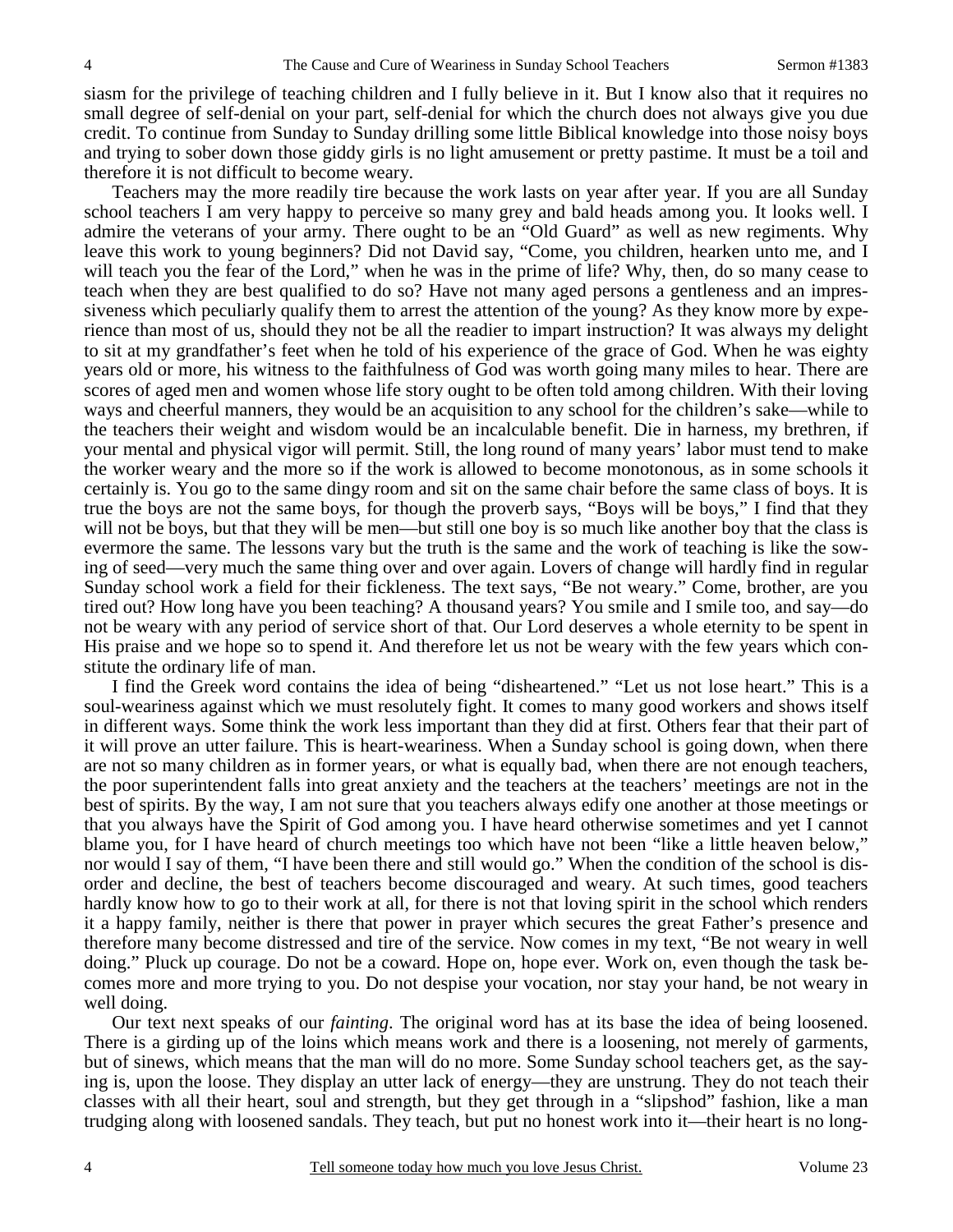siasm for the privilege of teaching children and I fully believe in it. But I know also that it requires no small degree of self-denial on your part, self-denial for which the church does not always give you due credit. To continue from Sunday to Sunday drilling some little Biblical knowledge into those noisy boys and trying to sober down those giddy girls is no light amusement or pretty pastime. It must be a toil and therefore it is not difficult to become weary.

Teachers may the more readily tire because the work lasts on year after year. If you are all Sunday school teachers I am very happy to perceive so many grey and bald heads among you. It looks well. I admire the veterans of your army. There ought to be an "Old Guard" as well as new regiments. Why leave this work to young beginners? Did not David say, "Come, you children, hearken unto me, and I will teach you the fear of the Lord," when he was in the prime of life? Why, then, do so many cease to teach when they are best qualified to do so? Have not many aged persons a gentleness and an impressiveness which peculiarly qualify them to arrest the attention of the young? As they know more by experience than most of us, should they not be all the readier to impart instruction? It was always my delight to sit at my grandfather's feet when he told of his experience of the grace of God. When he was eighty years old or more, his witness to the faithfulness of God was worth going many miles to hear. There are scores of aged men and women whose life story ought to be often told among children. With their loving ways and cheerful manners, they would be an acquisition to any school for the children's sake—while to the teachers their weight and wisdom would be an incalculable benefit. Die in harness, my brethren, if your mental and physical vigor will permit. Still, the long round of many years' labor must tend to make the worker weary and the more so if the work is allowed to become monotonous, as in some schools it certainly is. You go to the same dingy room and sit on the same chair before the same class of boys. It is true the boys are not the same boys, for though the proverb says, "Boys will be boys," I find that they will not be boys, but that they will be men—but still one boy is so much like another boy that the class is evermore the same. The lessons vary but the truth is the same and the work of teaching is like the sowing of seed—very much the same thing over and over again. Lovers of change will hardly find in regular Sunday school work a field for their fickleness. The text says, "Be not weary." Come, brother, are you tired out? How long have you been teaching? A thousand years? You smile and I smile too, and say—do not be weary with any period of service short of that. Our Lord deserves a whole eternity to be spent in His praise and we hope so to spend it. And therefore let us not be weary with the few years which constitute the ordinary life of man.

I find the Greek word contains the idea of being "disheartened." "Let us not lose heart." This is a soul-weariness against which we must resolutely fight. It comes to many good workers and shows itself in different ways. Some think the work less important than they did at first. Others fear that their part of it will prove an utter failure. This is heart-weariness. When a Sunday school is going down, when there are not so many children as in former years, or what is equally bad, when there are not enough teachers, the poor superintendent falls into great anxiety and the teachers at the teachers' meetings are not in the best of spirits. By the way, I am not sure that you teachers always edify one another at those meetings or that you always have the Spirit of God among you. I have heard otherwise sometimes and yet I cannot blame you, for I have heard of church meetings too which have not been "like a little heaven below," nor would I say of them, "I have been there and still would go." When the condition of the school is disorder and decline, the best of teachers become discouraged and weary. At such times, good teachers hardly know how to go to their work at all, for there is not that loving spirit in the school which renders it a happy family, neither is there that power in prayer which secures the great Father's presence and therefore many become distressed and tire of the service. Now comes in my text, "Be not weary in well doing." Pluck up courage. Do not be a coward. Hope on, hope ever. Work on, even though the task becomes more and more trying to you. Do not despise your vocation, nor stay your hand, be not weary in well doing.

Our text next speaks of our *fainting*. The original word has at its base the idea of being loosened. There is a girding up of the loins which means work and there is a loosening, not merely of garments, but of sinews, which means that the man will do no more. Some Sunday school teachers get, as the saying is, upon the loose. They display an utter lack of energy—they are unstrung. They do not teach their classes with all their heart, soul and strength, but they get through in a "slipshod" fashion, like a man trudging along with loosened sandals. They teach, but put no honest work into it—their heart is no long-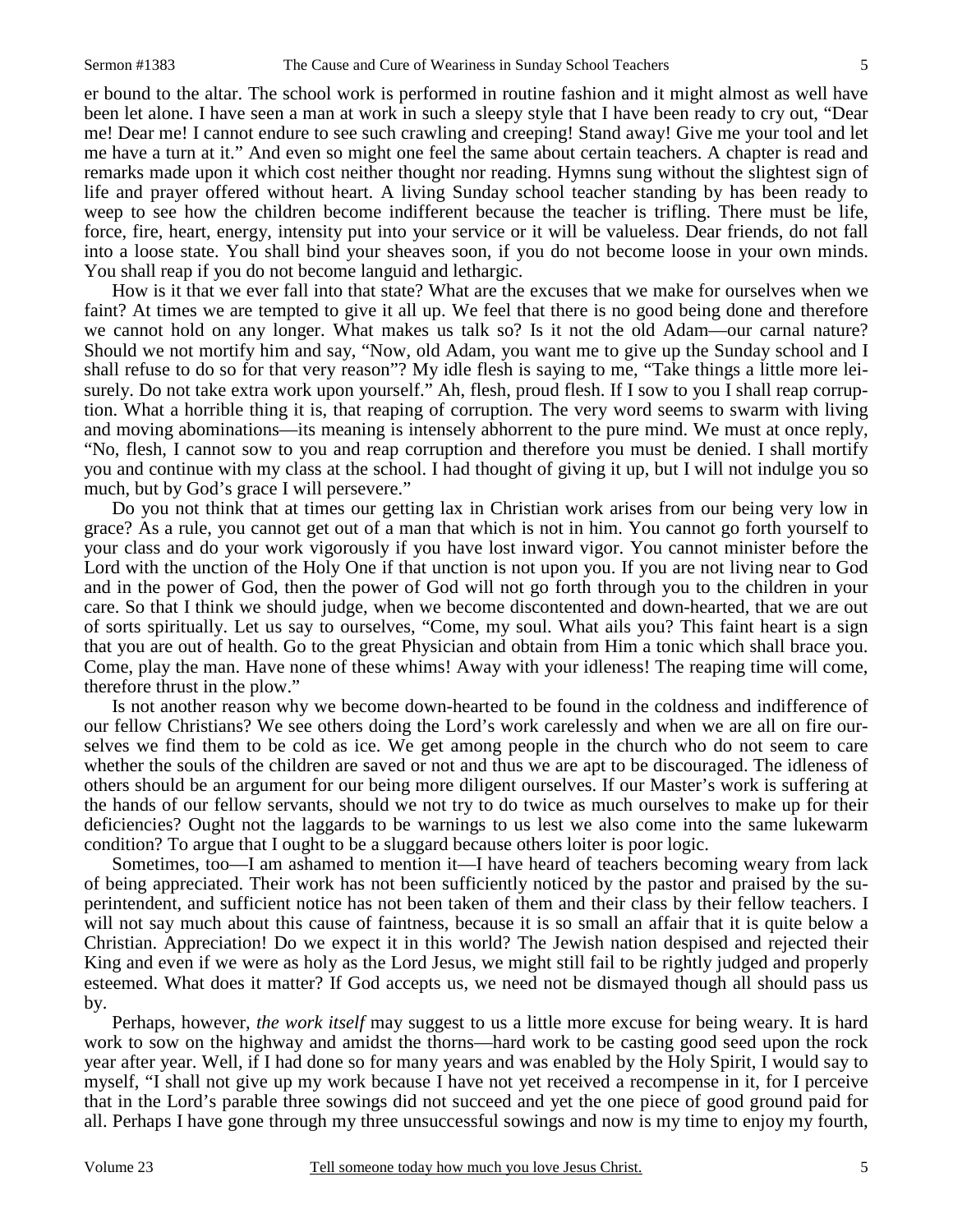er bound to the altar. The school work is performed in routine fashion and it might almost as well have been let alone. I have seen a man at work in such a sleepy style that I have been ready to cry out, "Dear me! Dear me! I cannot endure to see such crawling and creeping! Stand away! Give me your tool and let me have a turn at it." And even so might one feel the same about certain teachers. A chapter is read and remarks made upon it which cost neither thought nor reading. Hymns sung without the slightest sign of life and prayer offered without heart. A living Sunday school teacher standing by has been ready to weep to see how the children become indifferent because the teacher is trifling. There must be life, force, fire, heart, energy, intensity put into your service or it will be valueless. Dear friends, do not fall into a loose state. You shall bind your sheaves soon, if you do not become loose in your own minds. You shall reap if you do not become languid and lethargic.

How is it that we ever fall into that state? What are the excuses that we make for ourselves when we faint? At times we are tempted to give it all up. We feel that there is no good being done and therefore we cannot hold on any longer. What makes us talk so? Is it not the old Adam—our carnal nature? Should we not mortify him and say, "Now, old Adam, you want me to give up the Sunday school and I shall refuse to do so for that very reason"? My idle flesh is saying to me, "Take things a little more leisurely. Do not take extra work upon yourself." Ah, flesh, proud flesh. If I sow to you I shall reap corruption. What a horrible thing it is, that reaping of corruption. The very word seems to swarm with living and moving abominations—its meaning is intensely abhorrent to the pure mind. We must at once reply, "No, flesh, I cannot sow to you and reap corruption and therefore you must be denied. I shall mortify you and continue with my class at the school. I had thought of giving it up, but I will not indulge you so much, but by God's grace I will persevere."

Do you not think that at times our getting lax in Christian work arises from our being very low in grace? As a rule, you cannot get out of a man that which is not in him. You cannot go forth yourself to your class and do your work vigorously if you have lost inward vigor. You cannot minister before the Lord with the unction of the Holy One if that unction is not upon you. If you are not living near to God and in the power of God, then the power of God will not go forth through you to the children in your care. So that I think we should judge, when we become discontented and down-hearted, that we are out of sorts spiritually. Let us say to ourselves, "Come, my soul. What ails you? This faint heart is a sign that you are out of health. Go to the great Physician and obtain from Him a tonic which shall brace you. Come, play the man. Have none of these whims! Away with your idleness! The reaping time will come, therefore thrust in the plow."

Is not another reason why we become down-hearted to be found in the coldness and indifference of our fellow Christians? We see others doing the Lord's work carelessly and when we are all on fire ourselves we find them to be cold as ice. We get among people in the church who do not seem to care whether the souls of the children are saved or not and thus we are apt to be discouraged. The idleness of others should be an argument for our being more diligent ourselves. If our Master's work is suffering at the hands of our fellow servants, should we not try to do twice as much ourselves to make up for their deficiencies? Ought not the laggards to be warnings to us lest we also come into the same lukewarm condition? To argue that I ought to be a sluggard because others loiter is poor logic.

Sometimes, too—I am ashamed to mention it—I have heard of teachers becoming weary from lack of being appreciated. Their work has not been sufficiently noticed by the pastor and praised by the superintendent, and sufficient notice has not been taken of them and their class by their fellow teachers. I will not say much about this cause of faintness, because it is so small an affair that it is quite below a Christian. Appreciation! Do we expect it in this world? The Jewish nation despised and rejected their King and even if we were as holy as the Lord Jesus, we might still fail to be rightly judged and properly esteemed. What does it matter? If God accepts us, we need not be dismayed though all should pass us by.

Perhaps, however, *the work itself* may suggest to us a little more excuse for being weary. It is hard work to sow on the highway and amidst the thorns—hard work to be casting good seed upon the rock year after year. Well, if I had done so for many years and was enabled by the Holy Spirit, I would say to myself, "I shall not give up my work because I have not yet received a recompense in it, for I perceive that in the Lord's parable three sowings did not succeed and yet the one piece of good ground paid for all. Perhaps I have gone through my three unsuccessful sowings and now is my time to enjoy my fourth,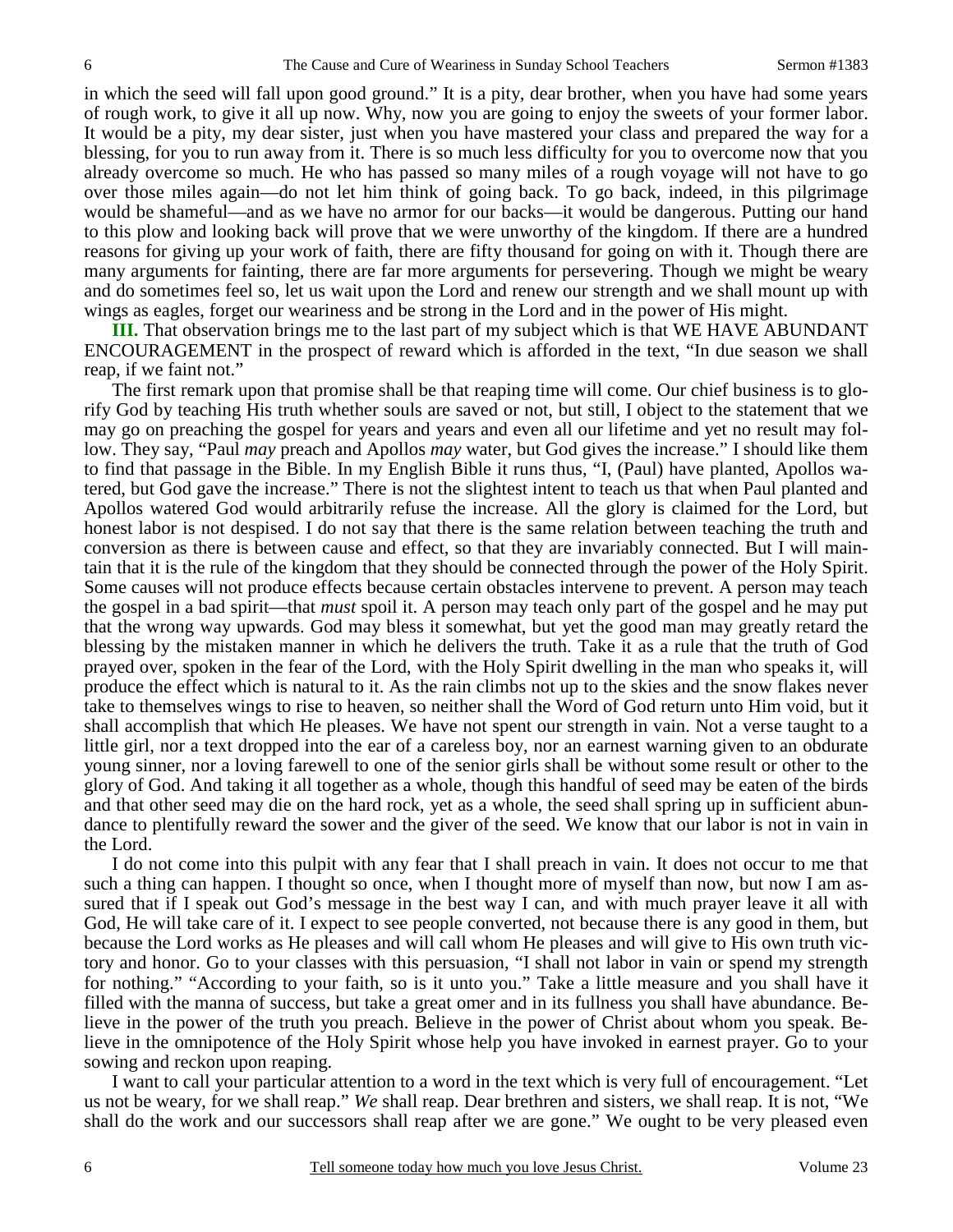in which the seed will fall upon good ground." It is a pity, dear brother, when you have had some years of rough work, to give it all up now. Why, now you are going to enjoy the sweets of your former labor. It would be a pity, my dear sister, just when you have mastered your class and prepared the way for a blessing, for you to run away from it. There is so much less difficulty for you to overcome now that you already overcome so much. He who has passed so many miles of a rough voyage will not have to go over those miles again—do not let him think of going back. To go back, indeed, in this pilgrimage would be shameful—and as we have no armor for our backs—it would be dangerous. Putting our hand to this plow and looking back will prove that we were unworthy of the kingdom. If there are a hundred reasons for giving up your work of faith, there are fifty thousand for going on with it. Though there are many arguments for fainting, there are far more arguments for persevering. Though we might be weary and do sometimes feel so, let us wait upon the Lord and renew our strength and we shall mount up with wings as eagles, forget our weariness and be strong in the Lord and in the power of His might.

**III.** That observation brings me to the last part of my subject which is that WE HAVE ABUNDANT ENCOURAGEMENT in the prospect of reward which is afforded in the text, "In due season we shall reap, if we faint not."

The first remark upon that promise shall be that reaping time will come. Our chief business is to glorify God by teaching His truth whether souls are saved or not, but still, I object to the statement that we may go on preaching the gospel for years and years and even all our lifetime and yet no result may follow. They say, "Paul *may* preach and Apollos *may* water, but God gives the increase." I should like them to find that passage in the Bible. In my English Bible it runs thus, "I, (Paul) have planted, Apollos watered, but God gave the increase." There is not the slightest intent to teach us that when Paul planted and Apollos watered God would arbitrarily refuse the increase. All the glory is claimed for the Lord, but honest labor is not despised. I do not say that there is the same relation between teaching the truth and conversion as there is between cause and effect, so that they are invariably connected. But I will maintain that it is the rule of the kingdom that they should be connected through the power of the Holy Spirit. Some causes will not produce effects because certain obstacles intervene to prevent. A person may teach the gospel in a bad spirit—that *must* spoil it. A person may teach only part of the gospel and he may put that the wrong way upwards. God may bless it somewhat, but yet the good man may greatly retard the blessing by the mistaken manner in which he delivers the truth. Take it as a rule that the truth of God prayed over, spoken in the fear of the Lord, with the Holy Spirit dwelling in the man who speaks it, will produce the effect which is natural to it. As the rain climbs not up to the skies and the snow flakes never take to themselves wings to rise to heaven, so neither shall the Word of God return unto Him void, but it shall accomplish that which He pleases. We have not spent our strength in vain. Not a verse taught to a little girl, nor a text dropped into the ear of a careless boy, nor an earnest warning given to an obdurate young sinner, nor a loving farewell to one of the senior girls shall be without some result or other to the glory of God. And taking it all together as a whole, though this handful of seed may be eaten of the birds and that other seed may die on the hard rock, yet as a whole, the seed shall spring up in sufficient abundance to plentifully reward the sower and the giver of the seed. We know that our labor is not in vain in the Lord.

I do not come into this pulpit with any fear that I shall preach in vain. It does not occur to me that such a thing can happen. I thought so once, when I thought more of myself than now, but now I am assured that if I speak out God's message in the best way I can, and with much prayer leave it all with God, He will take care of it. I expect to see people converted, not because there is any good in them, but because the Lord works as He pleases and will call whom He pleases and will give to His own truth victory and honor. Go to your classes with this persuasion, "I shall not labor in vain or spend my strength for nothing." "According to your faith, so is it unto you." Take a little measure and you shall have it filled with the manna of success, but take a great omer and in its fullness you shall have abundance. Believe in the power of the truth you preach. Believe in the power of Christ about whom you speak. Believe in the omnipotence of the Holy Spirit whose help you have invoked in earnest prayer. Go to your sowing and reckon upon reaping.

I want to call your particular attention to a word in the text which is very full of encouragement. "Let us not be weary, for we shall reap." *We* shall reap. Dear brethren and sisters, we shall reap. It is not, "We shall do the work and our successors shall reap after we are gone." We ought to be very pleased even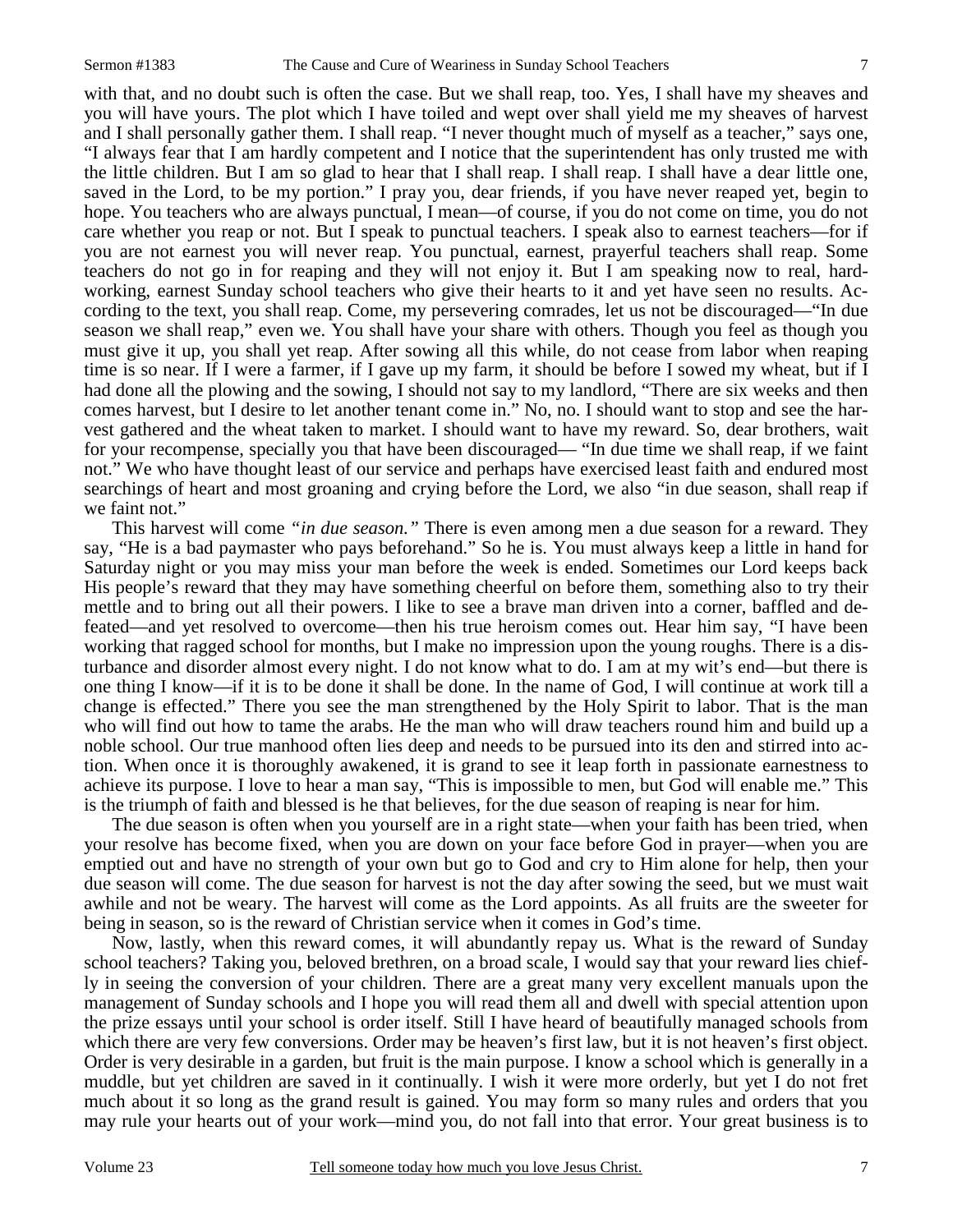with that, and no doubt such is often the case. But we shall reap, too. Yes, I shall have my sheaves and you will have yours. The plot which I have toiled and wept over shall yield me my sheaves of harvest and I shall personally gather them. I shall reap. "I never thought much of myself as a teacher," says one, "I always fear that I am hardly competent and I notice that the superintendent has only trusted me with the little children. But I am so glad to hear that I shall reap. I shall reap. I shall have a dear little one, saved in the Lord, to be my portion." I pray you, dear friends, if you have never reaped yet, begin to hope. You teachers who are always punctual, I mean—of course, if you do not come on time, you do not care whether you reap or not. But I speak to punctual teachers. I speak also to earnest teachers—for if you are not earnest you will never reap. You punctual, earnest, prayerful teachers shall reap. Some teachers do not go in for reaping and they will not enjoy it. But I am speaking now to real, hardworking, earnest Sunday school teachers who give their hearts to it and yet have seen no results. According to the text, you shall reap. Come, my persevering comrades, let us not be discouraged—"In due season we shall reap," even we. You shall have your share with others. Though you feel as though you must give it up, you shall yet reap. After sowing all this while, do not cease from labor when reaping time is so near. If I were a farmer, if I gave up my farm, it should be before I sowed my wheat, but if I had done all the plowing and the sowing, I should not say to my landlord, "There are six weeks and then comes harvest, but I desire to let another tenant come in." No, no. I should want to stop and see the harvest gathered and the wheat taken to market. I should want to have my reward. So, dear brothers, wait for your recompense, specially you that have been discouraged— "In due time we shall reap, if we faint not." We who have thought least of our service and perhaps have exercised least faith and endured most searchings of heart and most groaning and crying before the Lord, we also "in due season, shall reap if we faint not."

This harvest will come *"in due season."* There is even among men a due season for a reward. They say, "He is a bad paymaster who pays beforehand." So he is. You must always keep a little in hand for Saturday night or you may miss your man before the week is ended. Sometimes our Lord keeps back His people's reward that they may have something cheerful on before them, something also to try their mettle and to bring out all their powers. I like to see a brave man driven into a corner, baffled and defeated—and yet resolved to overcome—then his true heroism comes out. Hear him say, "I have been working that ragged school for months, but I make no impression upon the young roughs. There is a disturbance and disorder almost every night. I do not know what to do. I am at my wit's end—but there is one thing I know—if it is to be done it shall be done. In the name of God, I will continue at work till a change is effected." There you see the man strengthened by the Holy Spirit to labor. That is the man who will find out how to tame the arabs. He the man who will draw teachers round him and build up a noble school. Our true manhood often lies deep and needs to be pursued into its den and stirred into action. When once it is thoroughly awakened, it is grand to see it leap forth in passionate earnestness to achieve its purpose. I love to hear a man say, "This is impossible to men, but God will enable me." This is the triumph of faith and blessed is he that believes, for the due season of reaping is near for him.

The due season is often when you yourself are in a right state—when your faith has been tried, when your resolve has become fixed, when you are down on your face before God in prayer—when you are emptied out and have no strength of your own but go to God and cry to Him alone for help, then your due season will come. The due season for harvest is not the day after sowing the seed, but we must wait awhile and not be weary. The harvest will come as the Lord appoints. As all fruits are the sweeter for being in season, so is the reward of Christian service when it comes in God's time.

Now, lastly, when this reward comes, it will abundantly repay us. What is the reward of Sunday school teachers? Taking you, beloved brethren, on a broad scale, I would say that your reward lies chiefly in seeing the conversion of your children. There are a great many very excellent manuals upon the management of Sunday schools and I hope you will read them all and dwell with special attention upon the prize essays until your school is order itself. Still I have heard of beautifully managed schools from which there are very few conversions. Order may be heaven's first law, but it is not heaven's first object. Order is very desirable in a garden, but fruit is the main purpose. I know a school which is generally in a muddle, but yet children are saved in it continually. I wish it were more orderly, but yet I do not fret much about it so long as the grand result is gained. You may form so many rules and orders that you may rule your hearts out of your work—mind you, do not fall into that error. Your great business is to